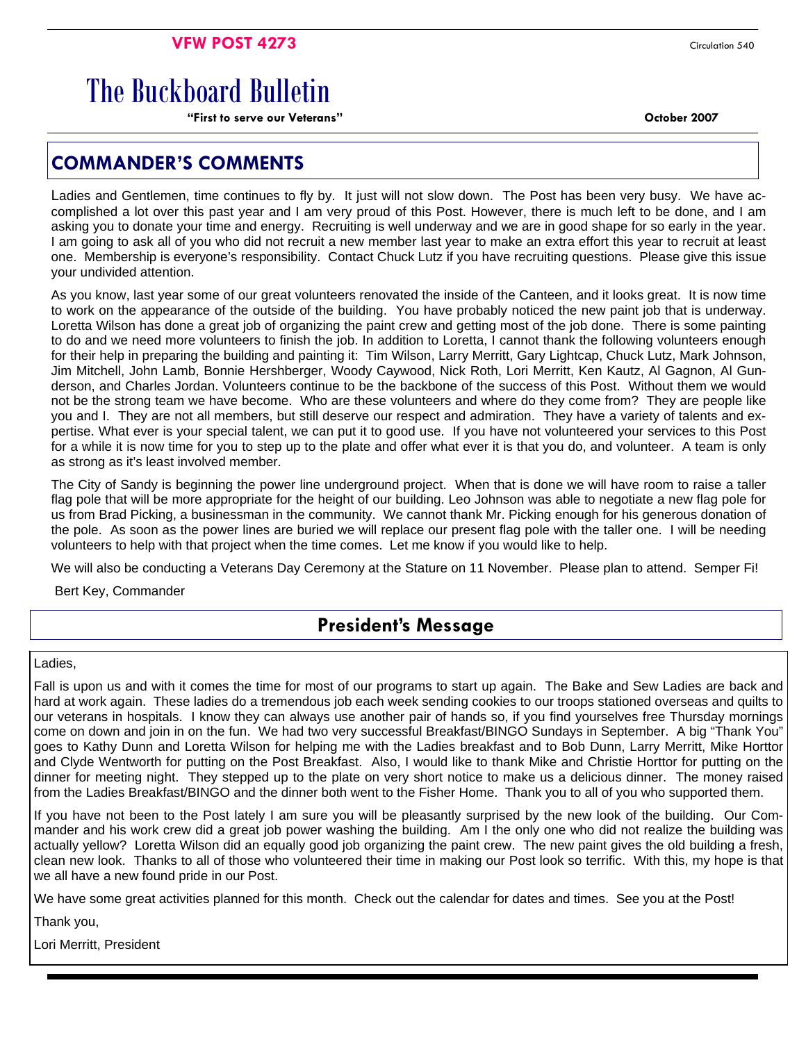# The Buckboard Bulletin

**"First to serve our Veterans" October 2007** 

## **COMMANDER'S COMMENTS**

Ladies and Gentlemen, time continues to fly by. It just will not slow down. The Post has been very busy. We have accomplished a lot over this past year and I am very proud of this Post. However, there is much left to be done, and I am asking you to donate your time and energy. Recruiting is well underway and we are in good shape for so early in the year. I am going to ask all of you who did not recruit a new member last year to make an extra effort this year to recruit at least one. Membership is everyone's responsibility. Contact Chuck Lutz if you have recruiting questions. Please give this issue your undivided attention.

As you know, last year some of our great volunteers renovated the inside of the Canteen, and it looks great. It is now time to work on the appearance of the outside of the building. You have probably noticed the new paint job that is underway. Loretta Wilson has done a great job of organizing the paint crew and getting most of the job done. There is some painting to do and we need more volunteers to finish the job. In addition to Loretta, I cannot thank the following volunteers enough for their help in preparing the building and painting it: Tim Wilson, Larry Merritt, Gary Lightcap, Chuck Lutz, Mark Johnson, Jim Mitchell, John Lamb, Bonnie Hershberger, Woody Caywood, Nick Roth, Lori Merritt, Ken Kautz, Al Gagnon, Al Gunderson, and Charles Jordan. Volunteers continue to be the backbone of the success of this Post. Without them we would not be the strong team we have become. Who are these volunteers and where do they come from? They are people like you and I. They are not all members, but still deserve our respect and admiration. They have a variety of talents and expertise. What ever is your special talent, we can put it to good use. If you have not volunteered your services to this Post for a while it is now time for you to step up to the plate and offer what ever it is that you do, and volunteer. A team is only as strong as it's least involved member.

The City of Sandy is beginning the power line underground project. When that is done we will have room to raise a taller flag pole that will be more appropriate for the height of our building. Leo Johnson was able to negotiate a new flag pole for us from Brad Picking, a businessman in the community. We cannot thank Mr. Picking enough for his generous donation of the pole. As soon as the power lines are buried we will replace our present flag pole with the taller one. I will be needing volunteers to help with that project when the time comes. Let me know if you would like to help.

We will also be conducting a Veterans Day Ceremony at the Stature on 11 November. Please plan to attend. Semper Fi!

Bert Key, Commander

# **President's Message**

Ladies,

Fall is upon us and with it comes the time for most of our programs to start up again. The Bake and Sew Ladies are back and hard at work again. These ladies do a tremendous job each week sending cookies to our troops stationed overseas and quilts to our veterans in hospitals. I know they can always use another pair of hands so, if you find yourselves free Thursday mornings come on down and join in on the fun. We had two very successful Breakfast/BINGO Sundays in September. A big "Thank You" goes to Kathy Dunn and Loretta Wilson for helping me with the Ladies breakfast and to Bob Dunn, Larry Merritt, Mike Horttor and Clyde Wentworth for putting on the Post Breakfast. Also, I would like to thank Mike and Christie Horttor for putting on the dinner for meeting night. They stepped up to the plate on very short notice to make us a delicious dinner. The money raised from the Ladies Breakfast/BINGO and the dinner both went to the Fisher Home. Thank you to all of you who supported them.

If you have not been to the Post lately I am sure you will be pleasantly surprised by the new look of the building. Our Commander and his work crew did a great job power washing the building. Am I the only one who did not realize the building was actually yellow? Loretta Wilson did an equally good job organizing the paint crew. The new paint gives the old building a fresh, clean new look. Thanks to all of those who volunteered their time in making our Post look so terrific. With this, my hope is that we all have a new found pride in our Post.

We have some great activities planned for this month. Check out the calendar for dates and times. See you at the Post!

Thank you,

Lori Merritt, President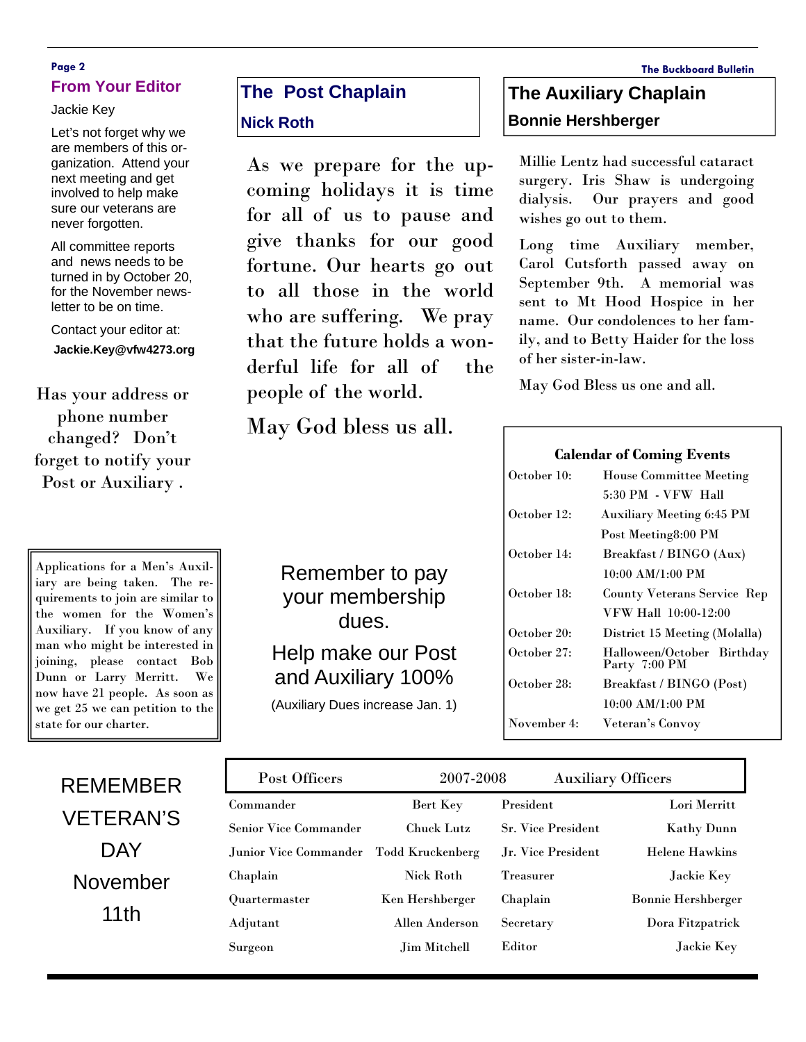### **Page 2 The Buckboard Bulletin From Your Editor**

Jackie Key

Let's not forget why we are members of this organization. Attend your next meeting and get involved to help make sure our veterans are never forgotten.

All committee reports and news needs to be turned in by October 20, for the November newsletter to be on time.

Contact your editor at: **Jackie.Key@vfw4273.org** 

Has your address or phone number changed? Don't forget to notify your Post or Auxiliary .

Applications for a Men's Auxiliary are being taken. The requirements to join are similar to the women for the Women's Auxiliary. If you know of any man who might be interested in joining, please contact Bob Dunn or Larry Merritt. We now have 21 people. As soon as we get 25 we can petition to the state for our charter.

REMEMBER

VETERAN'S

**DAY** 

November

11th

# **The Post Chaplain**

### **Nick Roth**

As we prepare for the upcoming holidays it is time for all of us to pause and give thanks for our good fortune. Our hearts go out to all those in the world who are suffering. We pray that the future holds a wonderful life for all of the people of the world.

May God bless us all.

and Auxiliary 100%

(Auxiliary Dues increase Jan. 1)

# **The Auxiliary Chaplain Bonnie Hershberger**

Millie Lentz had successful cataract surgery. Iris Shaw is undergoing dialysis. Our prayers and good wishes go out to them.

Long time Auxiliary member, Carol Cutsforth passed away on September 9th. A memorial was sent to Mt Hood Hospice in her name. Our condolences to her family, and to Betty Haider for the loss of her sister-in-law.

May God Bless us one and all.

#### **Calendar of Coming Events**

| October 10: | <b>House Committee Meeting</b>              |  |
|-------------|---------------------------------------------|--|
|             | 5:30 PM - VFW Hall                          |  |
| October 12: | <b>Auxiliary Meeting 6:45 PM</b>            |  |
|             | Post Meeting 8:00 PM                        |  |
| October 14: | Breakfast / BINGO (Aux)                     |  |
|             | 10:00 AM/1:00 PM                            |  |
| October 18: | County Veterans Service Rep                 |  |
|             | VFW Hall 10:00-12:00                        |  |
| October 20: | District 15 Meeting (Molalla)               |  |
| October 27: | Halloween/October Birthday<br>Party 7:00 PM |  |
| October 28: | Breakfast / BINGO (Post)                    |  |
|             | 10:00 AM/1:00 PM                            |  |
| November 4: | Veteran's Convoy                            |  |
|             |                                             |  |

| Post Officers                | 2007-2008         |                           | <b>Auxiliary Officers</b> |  |
|------------------------------|-------------------|---------------------------|---------------------------|--|
| Commander                    | Bert Key          | President                 | Lori Merritt              |  |
| <b>Senior Vice Commander</b> | <b>Chuck Lutz</b> | <b>Sr. Vice President</b> | <b>Kathy Dunn</b>         |  |
| Junior Vice Commander        | Todd Kruckenberg  | Jr. Vice President        | <b>Helene Hawkins</b>     |  |
| Chaplain                     | <b>Nick Roth</b>  | <b>Treasurer</b>          | Jackie Key                |  |
| Quartermaster                | Ken Hershberger   | Chaplain                  | <b>Bonnie Hershberger</b> |  |
| Adjutant                     | Allen Anderson    | Secretary                 | Dora Fitzpatrick          |  |
| Surgeon                      | Jim Mitchell      | Editor                    | Jackie Key                |  |

your membership dues.

Help make our Post

Remember to pay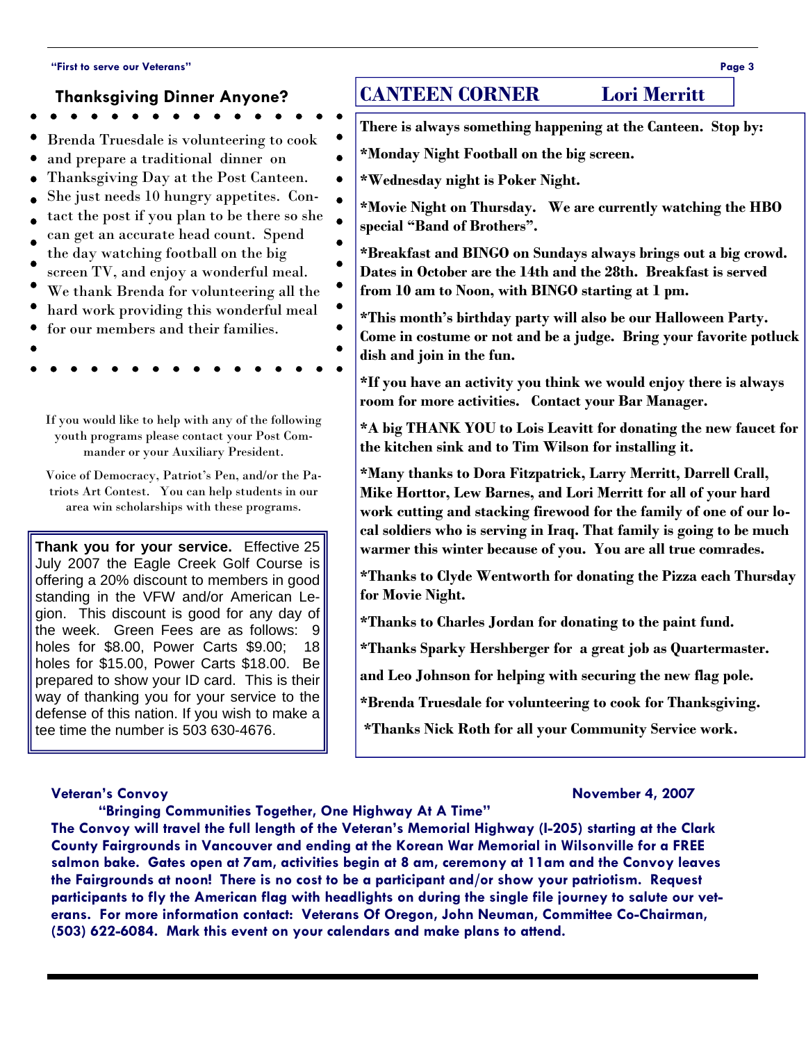#### **"First to serve our Veterans" Page 3**

#### **Thanksgiving Dinner Anyone?**

- Brenda Truesdale is volunteering to cook
- and prepare a traditional dinner on
- Thanksgiving Day at the Post Canteen.
- She just needs 10 hungry appetites. Con-
- tact the post if you plan to be there so she
- can get an accurate head count. Spend the day watching football on the big
- $\bullet$ screen TV, and enjoy a wonderful meal.
- We thank Brenda for volunteering all the
- hard work providing this wonderful meal
- for our members and their families.
- 
- 

If you would like to help with any of the following youth programs please contact your Post Commander or your Auxiliary President.

Voice of Democracy, Patriot's Pen, and/or the Patriots Art Contest. You can help students in our area win scholarships with these programs.

**Thank you for your service.** Effective 25 July 2007 the Eagle Creek Golf Course is offering a 20% discount to members in good standing in the VFW and/or American Legion. This discount is good for any day of the week. Green Fees are as follows: 9 holes for \$8.00, Power Carts \$9.00; 18 holes for \$15.00, Power Carts \$18.00. Be prepared to show your ID card. This is their way of thanking you for your service to the defense of this nation. If you wish to make a tee time the number is 503 630-4676.

## **CANTEEN CORNER Lori Merritt**

- **There is always something happening at the Canteen. Stop by:**
- **\*Monday Night Football on the big screen.**
- **\*Wednesday night is Poker Night.**

 $\bullet$ 

 $\bullet$  $\bullet$ 

- **\*Movie Night on Thursday. We are currently watching the HBO special "Band of Brothers".**
- **\*Breakfast and BINGO on Sundays always brings out a big crowd. Dates in October are the 14th and the 28th. Breakfast is served from 10 am to Noon, with BINGO starting at 1 pm.**
- **\*This month's birthday party will also be our Halloween Party. Come in costume or not and be a judge. Bring your favorite potluck dish and join in the fun.**

**\*If you have an activity you think we would enjoy there is always room for more activities. Contact your Bar Manager.** 

**\*A big THANK YOU to Lois Leavitt for donating the new faucet for the kitchen sink and to Tim Wilson for installing it.** 

**\*Many thanks to Dora Fitzpatrick, Larry Merritt, Darrell Crall, Mike Horttor, Lew Barnes, and Lori Merritt for all of your hard work cutting and stacking firewood for the family of one of our local soldiers who is serving in Iraq. That family is going to be much warmer this winter because of you. You are all true comrades.** 

**\*Thanks to Clyde Wentworth for donating the Pizza each Thursday for Movie Night.** 

**\*Thanks to Charles Jordan for donating to the paint fund.** 

**\*Thanks Sparky Hershberger for a great job as Quartermaster.** 

**and Leo Johnson for helping with securing the new flag pole.** 

**\*Brenda Truesdale for volunteering to cook for Thanksgiving.** 

 **\*Thanks Nick Roth for all your Community Service work.** 

#### **Veteran's Convoy November 4, 2007**

 **"Bringing Communities Together, One Highway At A Time"** 

**The Convoy will travel the full length of the Veteran's Memorial Highway (I-205) starting at the Clark County Fairgrounds in Vancouver and ending at the Korean War Memorial in Wilsonville for a FREE salmon bake. Gates open at 7am, activities begin at 8 am, ceremony at 11am and the Convoy leaves the Fairgrounds at noon! There is no cost to be a participant and/or show your patriotism. Request participants to fly the American flag with headlights on during the single file journey to salute our veterans. For more information contact: Veterans Of Oregon, John Neuman, Committee Co-Chairman, (503) 622-6084. Mark this event on your calendars and make plans to attend.**